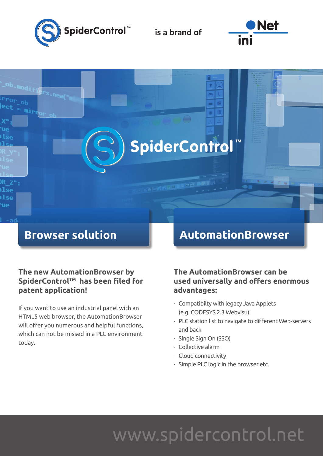

is a brand of

SpiderControl



## **Browser solution**

#### **The new AutomationBrowser by**  SpiderControl™ has been filed for **patent application!**

If you want to use an industrial panel with an HTML5 web browser, the AutomationBrowser will offer you numerous and helpful functions, which can not be missed in a PLC environment today.

## **AutomationBrowser**

### **The AutomationBrowser can be used universally and offers enormous advantages:**

- Compatibilty with legacy Java Applets (e.g. CODESYS 2.3 Webvisu)
- PLC station list to navigate to different Web-servers and back
- Single Sign On (SSO)
- Collective alarm
- Cloud connectivity
- Simple PLC logic in the browser etc.

## www.spidercontrol.net